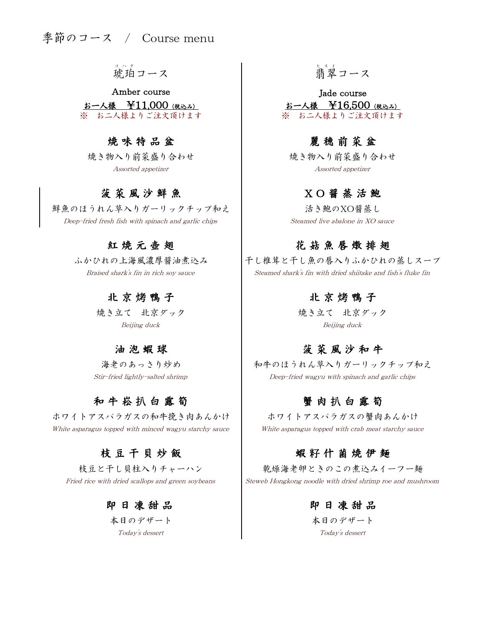琥珀 コ ハ ク コース 翡翠

お一人様 ¥11,000 (税込み) ※ お二人様よりご注文頂けます ※ お二人様よりご注文頂けます Amber course and a latter of the Jade course

# 焼 味 特 品 盆 は ま ま し ま は 麗 穂 前 菜 盆

焼き物入り前菜盛り合わせ Assorted appetizer

# 菠 菜 風 沙 鮮 魚

鮮魚のほうれん草入りガーリックチップ和え Deep-fried fresh fish with spinach and garlic chips

### 紅 焼 元 壺 翅

Braised shark's fin in rich soy sauce ふかひれの上海風濃厚醤油煮込み

### 北 京 烤 鴨 子

Beijing duck 焼き立て 北京ダック

### 油 泡 蝦 球

海老のあっさり炒め Stir-fried lightly-salted shrimp

# 和牛 崧 扒 白 靈 筍

White asparagus topped with minced wagyu starchy sauce ホワイトアスパラガスの和牛挽き肉あんかけ

# 枝 豆 干 貝 炒 飯

Fried rice with dried scallops and green soybeans 枝豆と干し貝柱入りチャーハン

### 即 日 凍 甜 品

Today's dessert 本日のデザート

# …。<br>翡翠コース

お一人様 ¥16,500 (税込み)

焼き物入り前菜盛り合わせ Assorted appetizer

### X O 醤 蒸 活 鮑

Steamed live abalone in XO sauce 活き鮑のXO醤蒸し

# 花 菇 魚 唇 燉 排 翅

Steamed shark's fin with dried shiitake and fish's fluke fin 干し椎茸と干し魚の唇入りふかひれの蒸しスープ

### 北 京 烤 鴨 子

Beijing duck 焼き立て 北京ダック

# 菠 菜 風 沙 和 牛

Deep-fried wagyu with spinach and garlic chips 和牛のほうれん草入りガーリックチップ和え

### 蟹 肉 扒 白 露 筍

ホワイトアスパラガスの蟹肉あんかけ White asparagus topped with crab meat starchy sauce

# 蝦 籽 什 菌 焼 伊 麺

Steweb Hongkong noodle with dried shrimp roe and mushroom 乾燥海老卵ときのこの煮込みイーフー麺

### 即 日 凍 甜 品

Today's dessert 本日のデザート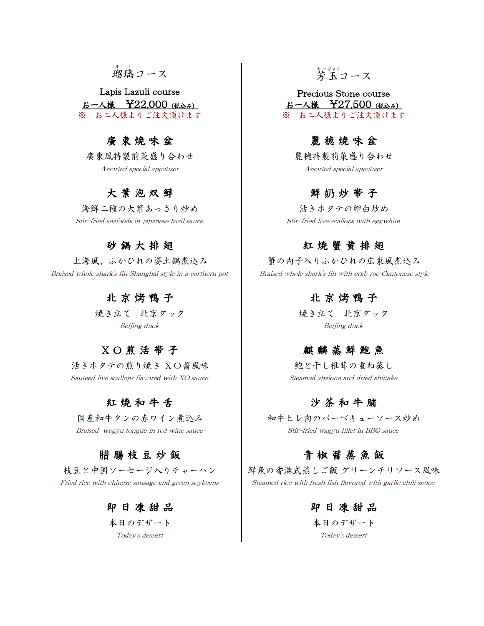# 瑠璃 ル リ コース 芳

お一人様 ¥22,000 (税込み) お一人様 ¥27,500 (税込み) Lapis Lazuli course and the Precious Stone course ※ お二人様よりご注文頂けます ※ お二人様よりご注文頂けます

# 廣東 焼 味 盆 は ま ま し ぼ き き (療) 康 穂 焼 味 盆

Assorted special appetizer Assorted special appetizer

# 大 葉 泡 双 鮮

海鮮二種の大葉あっさり炒め Stir-fried seafoods in japanese basil sauce Stir-fried live scallops with eggwhite

### 砂 鍋 大 排 翅

上海風、ふかひれの姿土鍋煮込み Braised whole shark's fin Shanghai style in a earthern pot

### 北 京 烤 鴨 子 は ま し お に ま は ま 烤 鴨 子

# X O 煎 活 帯 子

活きホタテの煎り焼き XO醤風味 Sauteed live scallops flavored with XO sauce Steamed abalone and dried shiitake

### 紅 焼 和 牛 舌 沙 茶 和 牛 脯

国産和牛タンの赤ワイン煮込み

### 即 日 凍 甜 品

本日のデザート Today's dessert Today's dessert

# \*ジャック<br>芳玉コース

廣東風特製前菜盛り合わせ | 麗穂特製前菜盛り合わせ

### 鮮 奶 炒 帯 子

活きホタテの卵白炒め

### 紅 焼 蟹 黄 排 翅

 Braised whole shark's fin with crab roe Cantonese style 蟹の内子入りふかひれの広東風煮込み

焼き立て 北京ダック キャンク しょうしょう しゅうえん 北京ダック Beijing duck Beijing duck

### 麒麟蒸鮮鮑魚

鮑と干し椎茸の重ね蒸し

Braised wagyu tongue in red wine sauce Stir-fried wagyu fillet in BBQ sauce 和牛ヒレ肉のバーベキューソース炒め

## 腊 腸 枝 豆 炒 飯 は は ま し お は お お 意 飯 飯

枝豆と中国ソーセージ入りチャーハン ――鮮魚の香港式蒸しご飯 グリーンチリソース風味 Fried rice with chinese sausage and green soybeans Steamed rice with fresh fish flavored with garlic chili sauce

> 本日のデザート 即 日 凍 甜 品